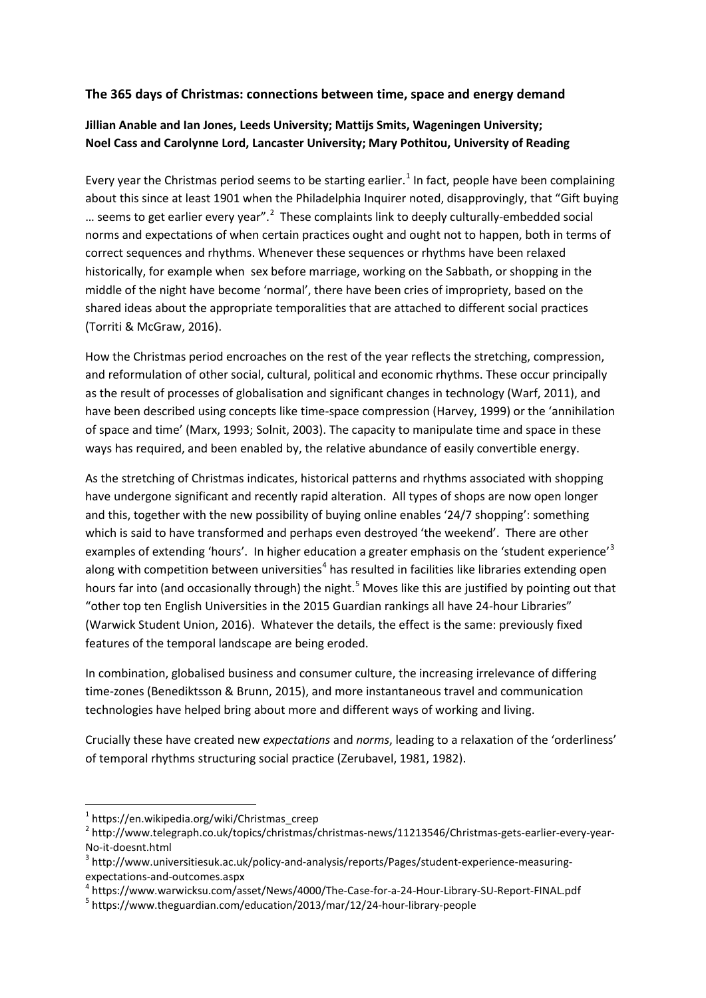## **The 365 days of Christmas: connections between time, space and energy demand**

## **Jillian Anable and Ian Jones, Leeds University; Mattijs Smits, Wageningen University; Noel Cass and Carolynne Lord, Lancaster University; Mary Pothitou, University of Reading**

Every year the Christmas period seems to be starting earlier.<sup>[1](#page-0-0)</sup> In fact, people have been complaining about this since at least 1901 when the Philadelphia Inquirer noted, disapprovingly, that "Gift buying ... seems to get earlier every year".<sup>[2](#page-0-1)</sup> These complaints link to deeply culturally-embedded social norms and expectations of when certain practices ought and ought not to happen, both in terms of correct sequences and rhythms. Whenever these sequences or rhythms have been relaxed historically, for example when sex before marriage, working on the Sabbath, or shopping in the middle of the night have become 'normal', there have been cries of impropriety, based on the shared ideas about the appropriate temporalities that are attached to different social practices (Torriti & McGraw, 2016).

How the Christmas period encroaches on the rest of the year reflects the stretching, compression, and reformulation of other social, cultural, political and economic rhythms. These occur principally as the result of processes of globalisation and significant changes in technology (Warf, 2011), and have been described using concepts like time-space compression (Harvey, 1999) or the 'annihilation of space and time' (Marx, 1993; Solnit, 2003). The capacity to manipulate time and space in these ways has required, and been enabled by, the relative abundance of easily convertible energy.

As the stretching of Christmas indicates, historical patterns and rhythms associated with shopping have undergone significant and recently rapid alteration. All types of shops are now open longer and this, together with the new possibility of buying online enables '24/7 shopping': something which is said to have transformed and perhaps even destroyed 'the weekend'. There are other examples of extending 'hours'. In higher education a greater emphasis on the 'student experience'<sup>[3](#page-0-2)</sup> along with competition between universities<sup>[4](#page-0-3)</sup> has resulted in facilities like libraries extending open hours far into (and occasionally through) the night.<sup>[5](#page-0-4)</sup> Moves like this are justified by pointing out that "other top ten English Universities in the 2015 Guardian rankings all have 24-hour Libraries" (Warwick Student Union, 2016). Whatever the details, the effect is the same: previously fixed features of the temporal landscape are being eroded.

In combination, globalised business and consumer culture, the increasing irrelevance of differing time-zones (Benediktsson & Brunn, 2015), and more instantaneous travel and communication technologies have helped bring about more and different ways of working and living.

Crucially these have created new *expectations* and *norms*, leading to a relaxation of the 'orderliness' of temporal rhythms structuring social practice (Zerubavel, 1981, 1982).

 <sup>1</sup> https://en.wikipedia.org/wiki/Christmas\_creep

<span id="page-0-1"></span><span id="page-0-0"></span><sup>2</sup> http://www.telegraph.co.uk/topics/christmas/christmas-news/11213546/Christmas-gets-earlier-every-year-No-it-doesnt.html<br><sup>3</sup> http://www.universitiesuk.ac.uk/policy-and-analysis/reports/Pages/student-experience-measuring-

<span id="page-0-2"></span>

expectations-and-outcomes.aspx<br><sup>4</sup> https://www.warwicksu.com/asset/News/4000/The-Case-for-a-24-Hour-Library-SU-Report-FINAL.pdf<br><sup>5</sup> https://www.theguardian.com/education/2013/mar/12/24-hour-library-people

<span id="page-0-4"></span><span id="page-0-3"></span>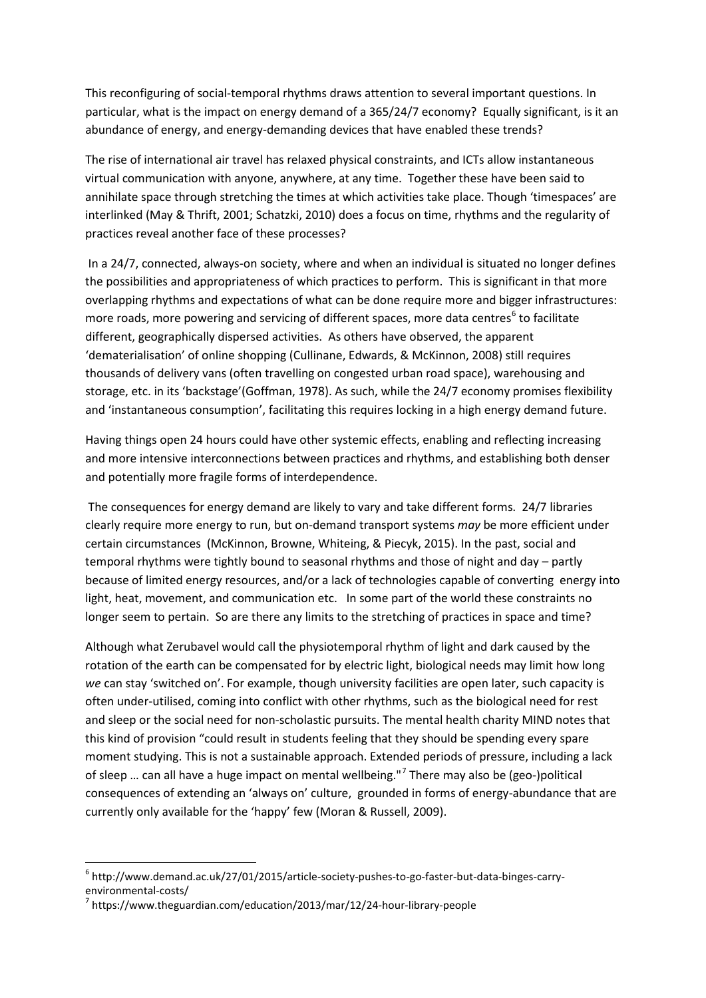This reconfiguring of social-temporal rhythms draws attention to several important questions. In particular, what is the impact on energy demand of a 365/24/7 economy? Equally significant, is it an abundance of energy, and energy-demanding devices that have enabled these trends?

The rise of international air travel has relaxed physical constraints, and ICTs allow instantaneous virtual communication with anyone, anywhere, at any time. Together these have been said to annihilate space through stretching the times at which activities take place. Though 'timespaces' are interlinked (May & Thrift, 2001; Schatzki, 2010) does a focus on time, rhythms and the regularity of practices reveal another face of these processes?

In a 24/7, connected, always-on society, where and when an individual is situated no longer defines the possibilities and appropriateness of which practices to perform. This is significant in that more overlapping rhythms and expectations of what can be done require more and bigger infrastructures: more roads, more powering and servicing of different spaces, more data centres<sup>[6](#page-1-0)</sup> to facilitate different, geographically dispersed activities. As others have observed, the apparent 'dematerialisation' of online shopping (Cullinane, Edwards, & McKinnon, 2008) still requires thousands of delivery vans (often travelling on congested urban road space), warehousing and storage, etc. in its 'backstage'(Goffman, 1978). As such, while the 24/7 economy promises flexibility and 'instantaneous consumption', facilitating this requires locking in a high energy demand future.

Having things open 24 hours could have other systemic effects, enabling and reflecting increasing and more intensive interconnections between practices and rhythms, and establishing both denser and potentially more fragile forms of interdependence.

The consequences for energy demand are likely to vary and take different forms. 24/7 libraries clearly require more energy to run, but on-demand transport systems *may* be more efficient under certain circumstances (McKinnon, Browne, Whiteing, & Piecyk, 2015). In the past, social and temporal rhythms were tightly bound to seasonal rhythms and those of night and day – partly because of limited energy resources, and/or a lack of technologies capable of converting energy into light, heat, movement, and communication etc. In some part of the world these constraints no longer seem to pertain. So are there any limits to the stretching of practices in space and time?

Although what Zerubavel would call the physiotemporal rhythm of light and dark caused by the rotation of the earth can be compensated for by electric light, biological needs may limit how long *we* can stay 'switched on'. For example, though university facilities are open later, such capacity is often under-utilised, coming into conflict with other rhythms, such as the biological need for rest and sleep or the social need for non-scholastic pursuits. The mental health charity MIND notes that this kind of provision "could result in students feeling that they should be spending every spare moment studying. This is not a sustainable approach. Extended periods of pressure, including a lack of sleep ... can all have a huge impact on mental wellbeing."<sup>[7](#page-1-1)</sup> There may also be (geo-)political consequences of extending an 'always on' culture, grounded in forms of energy-abundance that are currently only available for the 'happy' few (Moran & Russell, 2009).

<span id="page-1-0"></span> <sup>6</sup> http://www.demand.ac.uk/27/01/2015/article-society-pushes-to-go-faster-but-data-binges-carryenvironmental-costs/<br><sup>7</sup> https://www.theguardian.com/education/2013/mar/12/24-hour-library-people

<span id="page-1-1"></span>